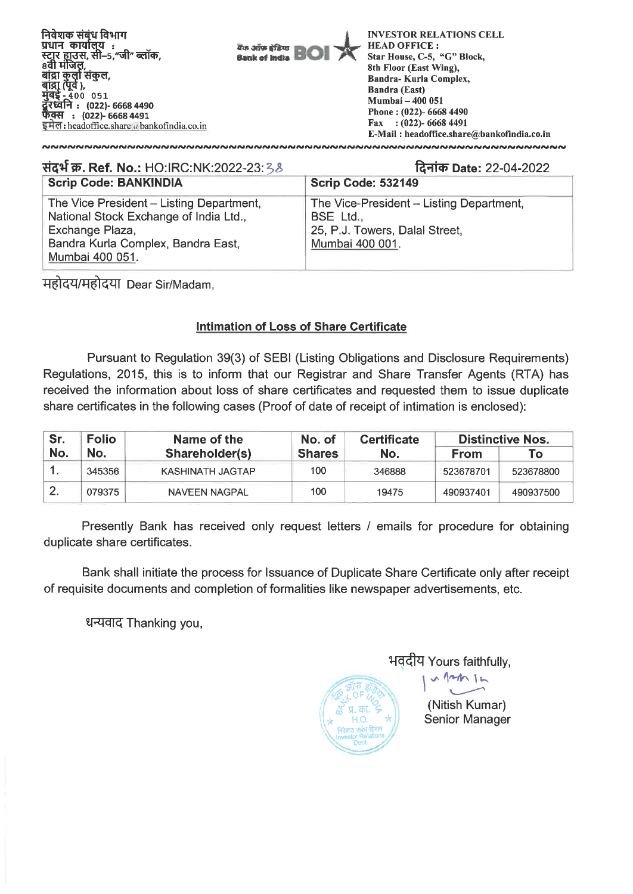

| संदर्भ क्र. Ref. No.: HO:IRC:NK:2022-23:38                                                                                                                     | दिनांक Date: 22-04-2022                                                                                    |  |  |  |
|----------------------------------------------------------------------------------------------------------------------------------------------------------------|------------------------------------------------------------------------------------------------------------|--|--|--|
| <b>Scrip Code: BANKINDIA</b>                                                                                                                                   | Scrip Code: 532149                                                                                         |  |  |  |
| The Vice President - Listing Department,<br>National Stock Exchange of India Ltd.,<br>Exchange Plaza,<br>Bandra Kurla Complex, Bandra East,<br>Mumbai 400 051. | The Vice-President - Listing Department,<br>BSE Ltd.,<br>25, P.J. Towers, Dalal Street,<br>Mumbai 400 001. |  |  |  |

महोदय/महोदया Dear Sir/Madam,

## **Intimation of Loss of Share Certificate**

Pursuant to Regulation 39(3) of SEBI (Listing Obligations and Disclosure Requirements) Regulations, 2015, this is to inform that our Registrar and Share Transfer Agents (RTA) has received the information about loss of share certificates and requested them to issue duplicate share certificates in the following cases (Proof of date of receipt of intimation is enclosed):

| Sr. | <b>Folio</b> | Name of the      | No. of        | <b>Certificate</b> | <b>Distinctive Nos.</b> |           |
|-----|--------------|------------------|---------------|--------------------|-------------------------|-----------|
| No. | No.          | Shareholder(s)   | <b>Shares</b> | No.                | <b>From</b>             | To:       |
| . . | 345356       | KASHINATH JAGTAP | 100           | 346888             | 523678701               | 523678800 |
|     | 079375       | NAVEEN NAGPAL    | 100           | 19475              | 490937401               | 490937500 |

Presently Bank has received only request letters / emails for procedure for obtaining duplicate share certificates.

Bank shall initiate the process for Issuance of Duplicate Share Certificate only after receipt of requisite documents and completion of formalities like newspaper advertisements, etc.

धन्यवाद Thanking you,



भवदीय Yours faithfully, **I 1101-4•N** 

(Nitish Kumar) **Senior Manager**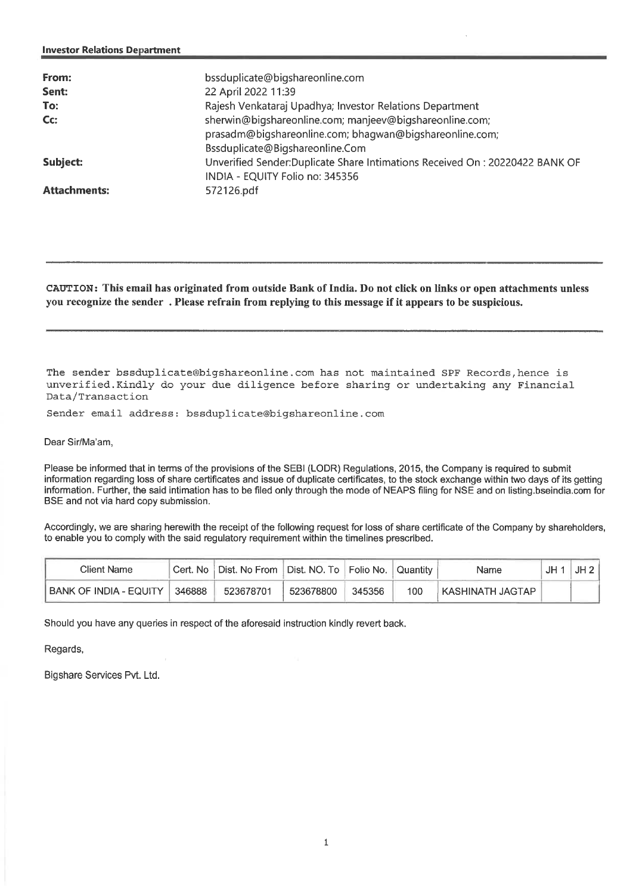| From:<br>Sent:      | bssduplicate@bigshareonline.com<br>22 April 2022 11:39                                                                                                |
|---------------------|-------------------------------------------------------------------------------------------------------------------------------------------------------|
| To:                 | Rajesh Venkataraj Upadhya; Investor Relations Department                                                                                              |
| Cc:                 | sherwin@bigshareonline.com; manjeev@bigshareonline.com;<br>prasadm@bigshareonline.com; bhagwan@bigshareonline.com;<br>Bssduplicate@Bigshareonline.Com |
| Subject:            | Unverified Sender:Duplicate Share Intimations Received On : 20220422 BANK OF<br>INDIA - EQUITY Folio no: 345356                                       |
| <b>Attachments:</b> | 572126.pdf                                                                                                                                            |

**CAUTION: This email has originated from outside Bank of India. Do not click on links or open attachments unless you recognize the sender . Please refrain from replying to this message if it appears to be suspicious.** 

The sender bssduplicate@bigshareonline.com has not maintained SPF Records,hence is unverified.Kindly do your due diligence before sharing or undertaking any Financial Data/Transaction

Sender email address: bssduplicate@bigshareonline.com

Dear Sir/Ma'am,

Please be informed that in terms of the provisions of the SEBI (LODR) Regulations, 2015, the Company is required to submit information regarding loss of share certificates and issue of duplicate certificates, to the stock exchange within two days of its getting information. Further, the said intimation has to be filed only through the mode of NEAPS filing for NSE and on listing bseindia.com for BSE and not via hard copy submission.

Accordingly, we are sharing herewith the receipt of the following request for loss of share certificate of the Company by shareholders, to enable you to comply with the said regulatory requirement within the timelines prescribed.

| Client Name              |        | Cert. No   Dist. No From   Dist. NO. To   Folio No. |           |        | Quantity | Name                | JH2 |
|--------------------------|--------|-----------------------------------------------------|-----------|--------|----------|---------------------|-----|
| I BANK OF INDIA - EQUITY | 346888 | 523678701                                           | 523678800 | 345356 | 100      | LKASHINATH JAGTAP . |     |

Should you have any queries in respect of the aforesaid instruction kindly revert back.

Regards,

Bigshare Services Pvt. Ltd.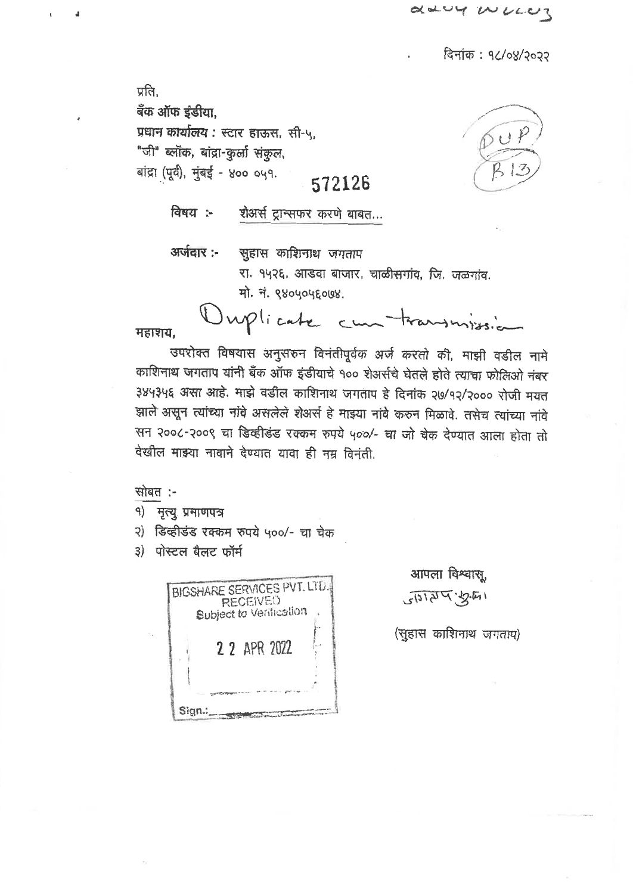daug wurde

दिनांक: १८/०४/२०२२

प्रति. बँक ऑफ इंडीया, प्रधान कार्यालय: स्टार हाऊस, सी-५, "जी" ब्लॉक, बांद्रा-कुर्ला संकुल, बांद्रा (पूर्व), मुंबई - ४०० ०५१. 572126



विषय :-शेअर्स ट्रान्सफर करणे बाबत...

अर्जवार:-

सुहास काशिनाथ जगताप रा. १५२६, आडवा बाजार, चाळीसगांव, जि. जळगांव. मो. नं. ९४०५०५६०७४.

Ouplicate cun transmission

महाशय.

 $\overline{A}$ 

उपरोक्त विषयास अनुसरुन विनंतीपूर्वक अर्ज करतो की, माझी वडील नामे काशिनाथ जगताप यांनी बँक ऑफ इंडीयाचे १०० शेअर्सचे घेतले होते त्याचा फोलिओ नंबर ३४५३५६ असा आहे. माझे वडील काशिनाथ जगताप हे दिनांक २७/१२/२००० रोजी मयत झाले असून त्यांच्या नांवे असलेले शेअर्स हे माझ्या नांवे करुन मिळावे. तसेच त्यांच्या नांवे सन २००८-२००९ चा डिव्हीडंड रक्कम रुपये ५००/- चा जो चेक देण्यात आला होता तो देखील माझ्या नावाने देण्यात यावा ही नम्र विनंती.

सोबत :-

१) मृत्यु प्रमाणपत्र

२) डिव्हीडंड रक्कम रुपये ५००/- चा चेक

3) पोस्टल बैलट फॉर्म



आपला विश्वास. 112477612

(सुहास काशिनाथ जगताप)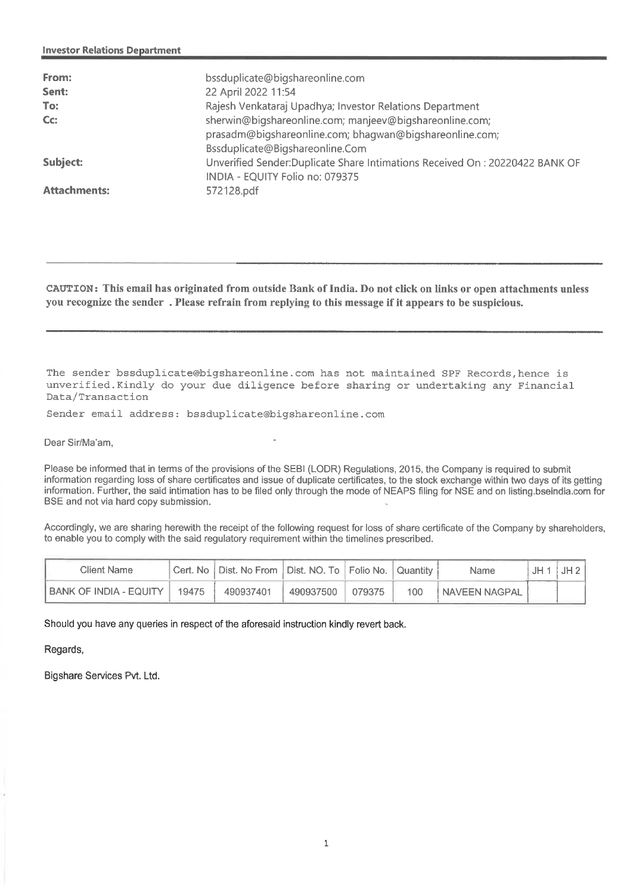| From:<br>Sent:<br>To:<br>$Cc$ : | bssduplicate@bigshareonline.com<br>22 April 2022 11:54<br>Rajesh Venkataraj Upadhya; Investor Relations Department<br>sherwin@bigshareonline.com; manjeev@bigshareonline.com;<br>prasadm@bigshareonline.com; bhaqwan@bigshareonline.com;<br>Bssduplicate@Bigshareonline.Com |
|---------------------------------|-----------------------------------------------------------------------------------------------------------------------------------------------------------------------------------------------------------------------------------------------------------------------------|
| Subject:                        | Unverified Sender: Duplicate Share Intimations Received On: 20220422 BANK OF<br>INDIA - EQUITY Folio no: 079375                                                                                                                                                             |
| <b>Attachments:</b>             | 572128.pdf                                                                                                                                                                                                                                                                  |

**CAUTION: This email has originated from outside Bank of India. Do not click on links or open attachments unless you recognize the sender . Please refrain from replying to this message if it appears to be suspicious.** 

The sender bssduplicate@bigshareonline.com has not maintained SPF Records,hence is unverified.Kindly do your due diligence before sharing or undertaking any Financial Data/Transaction

Sender email address: bssduplicate@bigshareonline.com

Dear Sir/Ma'am,

Please be informed that in terms of the provisions of the SEBI (LODR) Regulations, 2015, the Company is required to submit information regarding loss of share certificates and issue of duplicate certificates, to the stock exchange within two days of its getting information. Further, the said intimation has to be filed only through the mode of NEAPS filing for NSE and on listing bseindia.com for BSE and not via hard copy submission.

Accordingly, we are sharing herewith the receipt of the following request for loss of share certificate of the Company by shareholders, to enable you to comply with the said regulatory requirement within the timelines prescribed.

| Client Name              |       | ∥Cert. No   Dist. No From ∥Dist. NO. To   Folio No. ∥ |           |        | ™Quantitv . | Name            | .IH. | JH2 |
|--------------------------|-------|-------------------------------------------------------|-----------|--------|-------------|-----------------|------|-----|
| i BANK OF INDIA - EQUITY | 19475 | 490937401                                             | 490937500 | 079375 | 100         | I NAVEEN NAGPAL |      |     |

Should you have any queries in respect of the aforesaid instruction kindly revert back.

Regards,

Bigshare Services Pvt. Ltd.